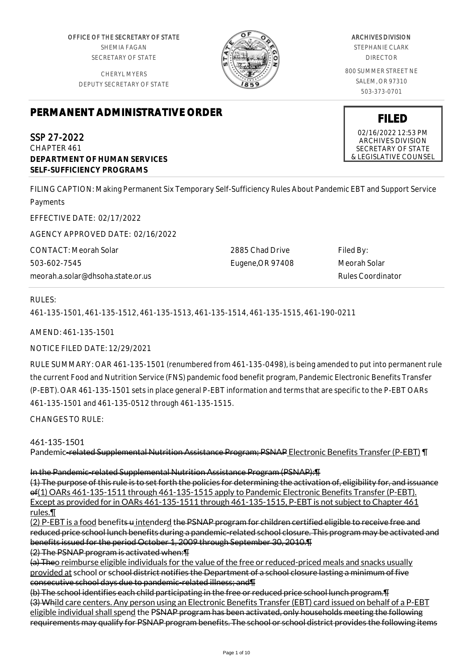OFFICE OF THE SECRETARY OF STATE SHEMIA FAGAN SECRETARY OF STATE

CHERYL MYERS DEPUTY SECRETARY OF STATE



# ARCHIVES DIVISION

STEPHANIE CLARK DIRECTOR

800 SUMMER STREET NE SALEM, OR 97310 503-373-0701

# **PERMANENT ADMINISTRATIVE ORDER**

SSP 27-2022 CHAPTER 461 **DEPARTMENT OF HUMAN SERVICES SELF-SUFFICIENCY PROGRAMS**

FILING CAPTION: Making Permanent Six Temporary Self-Sufficiency Rules About Pandemic EBT and Support Service Payments

EFFECTIVE DATE: 02/17/2022

AGENCY APPROVED DATE: 02/16/2022

CONTACT: Meorah Solar 503-602-7545 meorah.a.solar@dhsoha.state.or.us 2885 Chad Drive Eugene,OR 97408 Filed By: Meorah Solar Rules Coordinator

# RULES:

461-135-1501, 461-135-1512, 461-135-1513, 461-135-1514, 461-135-1515, 461-190-0211

AMEND: 461-135-1501

NOTICE FILED DATE: 12/29/2021

RULE SUMMARY: OAR 461-135-1501 (renumbered from 461-135-0498), is being amended to put into permanent rule the current Food and Nutrition Service (FNS) pandemic food benefit program, Pandemic Electronic Benefits Transfer (P-EBT). OAR 461-135-1501 sets in place general P-EBT information and terms that are specific to the P-EBT OARs 461-135-1501 and 461-135-0512 through 461-135-1515.

CHANGES TO RULE:

461-135-1501

Pandemic-related Supplemental Nutrition Assistance Program; PSNAP Electronic Benefits Transfer (P-EBT) ¶

In the Pandemic-related Supplemental Nutrition Assistance Program (PSNAP):¶

(1) The purpose of this rule is to set forth the policies for determining the activation of, eligibility for, and issuance of(1) OARs 461-135-1511 through 461-135-1515 apply to Pandemic Electronic Benefits Transfer (P-EBT). Except as provided for in OARs 461-135-1511 through 461-135-1515, P-EBT is not subject to Chapter 461 rules.¶

(2) P-EBT is a food benefits u intenderd the PSNAP program for children certified eligible to receive free and reduced price school lunch benefits during a pandemic-related school closure. This program may be activated and benefits issued for the period October 1, 2009 through September 30, 2010.¶

(2) The PSNAP program is activated when:¶

(a) Theo reimburse eligible individuals for the value of the free or reduced-priced meals and snacks usually provided at school or school district notifies the Department of a school closure lasting a minimum of five consecutive school days due to pandemic-related illness; and¶

(b) The school identifies each child participating in the free or reduced price school lunch program.¶ (3) Whild care centers. Any person using an Electronic Benefits Transfer (EBT) card issued on behalf of a P-EBT eligible individual shall spend the PSNAP program has been activated, only households meeting the following requirements may qualify for PSNAP program benefits. The school or school district provides the following items

**FILED** 02/16/2022 12:53 PM ARCHIVES DIVISION SECRETARY OF STATE

& LEGISLATIVE COUNSEL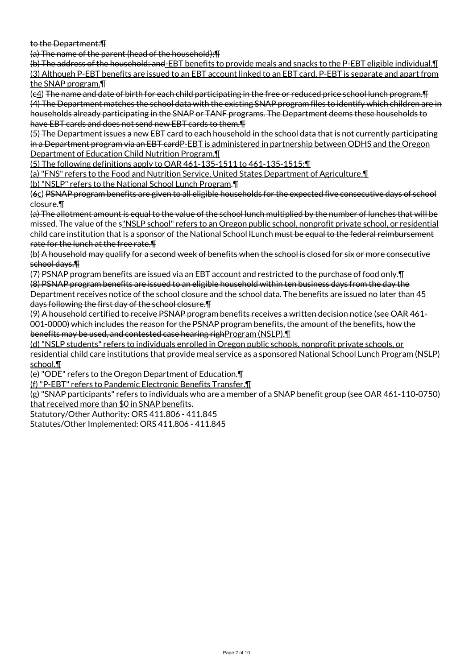to the Department:¶

(a) The name of the parent (head of the household);¶

(b) The address of the household; and-EBT benefits to provide meals and snacks to the P-EBT eligible individual.¶ (3) Although P-EBT benefits are issued to an EBT account linked to an EBT card, P-EBT is separate and apart from the SNAP program.¶

(c4) The name and date of birth for each child participating in the free or reduced price school lunch program.¶ (4) The Department matches the school data with the existing SNAP program files to identify which children are in households already participating in the SNAP or TANF programs. The Department deems these households to have EBT cards and does not send new EBT cards to them.¶

(5) The Department issues a new EBT card to each household in the school data that is not currently participating in a Department program via an EBT cardP-EBT is administered in partnership between ODHS and the Oregon Department of Education Child Nutrition Program.¶

(5) The following definitions apply to OAR 461-135-1511 to 461-135-1515:¶

(a) "FNS" refers to the Food and Nutrition Service, United States Department of Agriculture.¶

(b) "NSLP" refers to the National School Lunch Program.¶

(6c) PSNAP program benefits are given to all eligible households for the expected five consecutive days of school closure.¶

(a) The allotment amount is equal to the value of the school lunch multiplied by the number of lunches that will be missed. The value of the s"NSLP school" refers to an Oregon public school, nonprofit private school, or residential child care institution that is a sponsor of the National School ILunch must be equal to the federal reimbursement rate for the lunch at the free rate.¶

(b) A household may qualify for a second week of benefits when the school is closed for six or more consecutive school days.¶

(7) PSNAP program benefits are issued via an EBT account and restricted to the purchase of food only.¶ (8) PSNAP program benefits are issued to an eligible household within ten business days from the day the Department receives notice of the school closure and the school data. The benefits are issued no later than 45 days following the first day of the school closure.¶

(9) A household certified to receive PSNAP program benefits receives a written decision notice (see OAR 461- 001-0000) which includes the reason for the PSNAP program benefits, the amount of the benefits, how the benefits may be used, and contested case hearing righProgram (NSLP). [1]

(d) "NSLP students" refers to individuals enrolled in Oregon public schools, nonprofit private schools, or residential child care institutions that provide meal service as a sponsored National School Lunch Program (NSLP) school.¶

(e) "ODE" refers to the Oregon Department of Education.¶

(f) "P-EBT" refers to Pandemic Electronic Benefits Transfer.¶

(g) "SNAP participants" refers to individuals who are a member of a SNAP benefit group (see OAR 461-110-0750) that received more than \$0 in SNAP benefits.

Statutory/Other Authority: ORS 411.806 - 411.845

Statutes/Other Implemented: ORS 411.806 - 411.845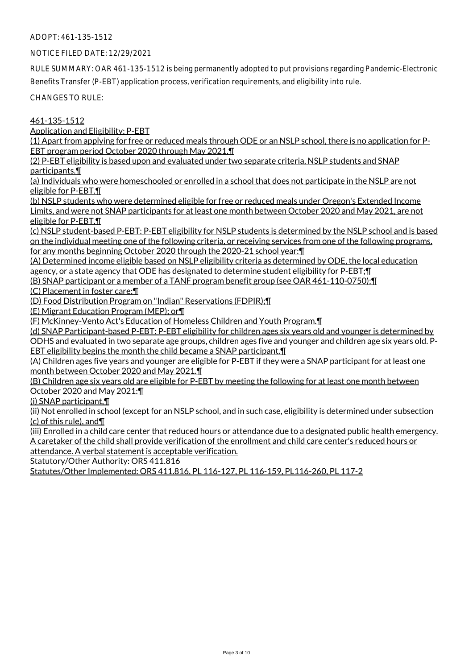NOTICE FILED DATE: 12/29/2021

RULE SUMMARY: OAR 461-135-1512 is being permanently adopted to put provisions regarding Pandemic-Electronic Benefits Transfer (P-EBT) application process, verification requirements, and eligibility into rule.

CHANGES TO RULE:

461-135-1512

Application and Eligibility; P-EBT

(1) Apart from applying for free or reduced meals through ODE or an NSLP school, there is no application for P-EBT program period October 2020 through May 2021.¶

(2) P-EBT eligibility is based upon and evaluated under two separate criteria, NSLP students and SNAP participants.¶

(a) Individuals who were homeschooled or enrolled in a school that does not participate in the NSLP are not eligible for P-EBT.¶

(b) NSLP students who were determined eligible for free or reduced meals under Oregon's Extended Income Limits, and were not SNAP participants for at least one month between October 2020 and May 2021, are not eligible for P-EBT.¶

(c) NSLP student-based P-EBT: P-EBT eligibility for NSLP students is determined by the NSLP school and is based on the individual meeting one of the following criteria, or receiving services from one of the following programs, for any months beginning October 2020 through the 2020-21 school year:¶

(A) Determined income eligible based on NSLP eligibility criteria as determined by ODE, the local education agency, or a state agency that ODE has designated to determine student eligibility for P-EBT; [1]

(B) SNAP participant or a member of a TANF program benefit group (see OAR 461-110-0750);¶

(C) Placement in foster care;¶

(D) Food Distribution Program on "Indian" Reservations (FDPIR);¶

(E) Migrant Education Program (MEP); or¶

(F) McKinney-Vento Act's Education of Homeless Children and Youth Program.¶

(d) SNAP Participant-based P-EBT: P-EBT eligibility for children ages six years old and younger is determined by ODHS and evaluated in two separate age groups, children ages five and younger and children age six years old. P-EBT eligibility begins the month the child became a SNAP participant.¶

(A) Children ages five years and younger are eligible for P-EBT if they were a SNAP participant for at least one month between October 2020 and May 2021.¶

(B) Children age six years old are eligible for P-EBT by meeting the following for at least one month between October 2020 and May 2021:¶

(i) SNAP participant,¶

(ii) Not enrolled in school (except for an NSLP school, and in such case, eligibility is determined under subsection (c) of this rule), and¶

(iii) Enrolled in a child care center that reduced hours or attendance due to a designated public health emergency. A caretaker of the child shall provide verification of the enrollment and child care center's reduced hours or attendance. A verbal statement is acceptable verification.

Statutory/Other Authority: ORS 411.816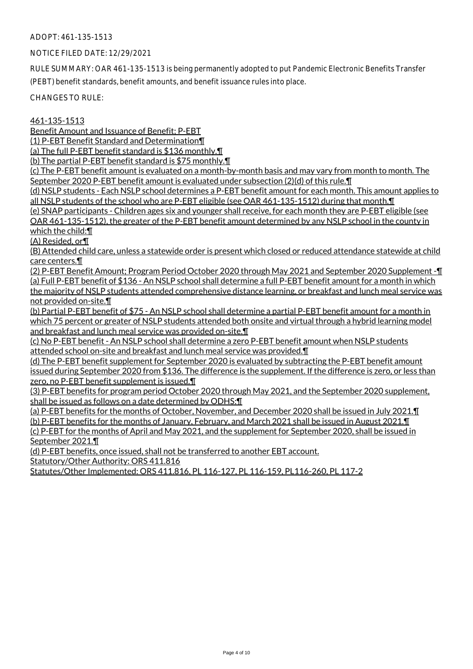#### NOTICE FILED DATE: 12/29/2021

RULE SUMMARY: OAR 461-135-1513 is being permanently adopted to put Pandemic Electronic Benefits Transfer (PEBT) benefit standards, benefit amounts, and benefit issuance rules into place.

CHANGES TO RULE:

461-135-1513

Benefit Amount and Issuance of Benefit; P-EBT

(1) P-EBT Benefit Standard and Determination¶

(a) The full P-EBT benefit standard is \$136 monthly.¶

(b) The partial P-EBT benefit standard is \$75 monthly.¶

(c) The P-EBT benefit amount is evaluated on a month-by-month basis and may vary from month to month. The September 2020 P-EBT benefit amount is evaluated under subsection (2)(d) of this rule.¶

(d) NSLP students - Each NSLP school determines a P-EBT benefit amount for each month. This amount applies to all NSLP students of the school who are P-EBT eligible (see OAR 461-135-1512) during that month. In

(e) SNAP participants - Children ages six and younger shall receive, for each month they are P-EBT eligible (see OAR 461-135-1512), the greater of the P-EBT benefit amount determined by any NSLP school in the county in which the child:¶

(A) Resided, or¶

(B) Attended child care, unless a statewide order is present which closed or reduced attendance statewide at child care centers.¶

(2) P-EBT Benefit Amount; Program Period October 2020 through May 2021 and September 2020 Supplement -¶ (a) Full P-EBT benefit of \$136 - An NSLP school shall determine a full P-EBT benefit amount for a month in which the majority of NSLP students attended comprehensive distance learning, or breakfast and lunch meal service was not provided on-site.¶

(b) Partial P-EBT benefit of \$75 - An NSLP school shall determine a partial P-EBT benefit amount for a month in which 75 percent or greater of NSLP students attended both onsite and virtual through a hybrid learning model and breakfast and lunch meal service was provided on-site.¶

(c) No P-EBT benefit - An NSLP school shall determine a zero P-EBT benefit amount when NSLP students attended school on-site and breakfast and lunch meal service was provided.¶

(d) The P-EBT benefit supplement for September 2020 is evaluated by subtracting the P-EBT benefit amount issued during September 2020 from \$136. The difference is the supplement. If the difference is zero, or less than zero, no P-EBT benefit supplement is issued.¶

(3) P-EBT benefits for program period October 2020 through May 2021, and the September 2020 supplement, shall be issued as follows on a date determined by ODHS:¶

(a) P-EBT benefits for the months of October, November, and December 2020 shall be issued in July 2021.¶

(b) P-EBT benefits for the months of January, February, and March 2021 shall be issued in August 2021.¶ (c) P-EBT for the months of April and May 2021, and the supplement for September 2020, shall be issued in September 2021.¶

(d) P-EBT benefits, once issued, shall not be transferred to another EBT account. Statutory/Other Authority: ORS 411.816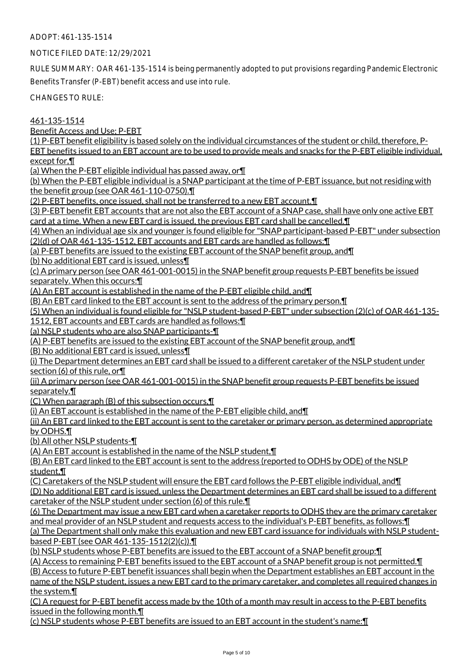NOTICE FILED DATE: 12/29/2021

RULE SUMMARY: OAR 461-135-1514 is being permanently adopted to put provisions regarding Pandemic Electronic Benefits Transfer (P-EBT) benefit access and use into rule.

CHANGES TO RULE:

461-135-1514

Benefit Access and Use; P-EBT

(1) P-EBT benefit eligibility is based solely on the individual circumstances of the student or child, therefore, P-EBT benefits issued to an EBT account are to be used to provide meals and snacks for the P-EBT eligible individual,

except for,¶

(a) When the P-EBT eligible individual has passed away, or¶

(b) When the P-EBT eligible individual is a SNAP participant at the time of P-EBT issuance, but not residing with the benefit group (see OAR 461-110-0750).¶

(2) P-EBT benefits, once issued, shall not be transferred to a new EBT account.¶

(3) P-EBT benefit EBT accounts that are not also the EBT account of a SNAP case, shall have only one active EBT card at a time. When a new EBT card is issued, the previous EBT card shall be cancelled.¶

(4) When an individual age six and younger is found eligible for "SNAP participant-based P-EBT" under subsection (2)(d) of OAR 461-135-1512, EBT accounts and EBT cards are handled as follows:¶

(a) P-EBT benefits are issued to the existing EBT account of the SNAP benefit group, and¶

(b) No additional EBT card is issued, unless¶

(c) A primary person (see OAR 461-001-0015) in the SNAP benefit group requests P-EBT benefits be issued separately. When this occurs:¶

(A) An EBT account is established in the name of the P-EBT eligible child, and¶

(B) An EBT card linked to the EBT account is sent to the address of the primary person.¶

(5) When an individual is found eligible for "NSLP student-based P-EBT" under subsection (2)(c) of OAR 461-135-

1512, EBT accounts and EBT cards are handled as follows:¶

(a) NSLP students who are also SNAP participants-¶

(A) P-EBT benefits are issued to the existing EBT account of the SNAP benefit group, and¶

(B) No additional EBT card is issued, unless¶

(i) The Department determines an EBT card shall be issued to a different caretaker of the NSLP student under section (6) of this rule, or¶

(ii) A primary person (see OAR 461-001-0015) in the SNAP benefit group requests P-EBT benefits be issued separately.¶

(C) When paragraph (B) of this subsection occurs,¶

(i) An EBT account is established in the name of the P-EBT eligible child, and¶

(ii) An EBT card linked to the EBT account is sent to the caretaker or primary person, as determined appropriate by ODHS.¶

(b) All other NSLP students-¶

(A) An EBT account is established in the name of the NSLP student,¶

(B) An EBT card linked to the EBT account is sent to the address (reported to ODHS by ODE) of the NSLP student,¶

(C) Caretakers of the NSLP student will ensure the EBT card follows the P-EBT eligible individual, and¶

(D) No additional EBT card is issued, unless the Department determines an EBT card shall be issued to a different caretaker of the NSLP student under section (6) of this rule.¶

(6) The Department may issue a new EBT card when a caretaker reports to ODHS they are the primary caretaker and meal provider of an NSLP student and requests access to the individual's P-EBT benefits, as follows:¶

(a) The Department shall only make this evaluation and new EBT card issuance for individuals with NSLP studentbased P-EBT (see OAR 461-135-1512(2)(c)).¶

(b) NSLP students whose P-EBT benefits are issued to the EBT account of a SNAP benefit group:¶

(A) Access to remaining P-EBT benefits issued to the EBT account of a SNAP benefit group is not permitted.¶ (B) Access to future P-EBT benefit issuances shall begin when the Department establishes an EBT account in the name of the NSLP student, issues a new EBT card to the primary caretaker, and completes all required changes in the system.¶

(C) A request for P-EBT benefit access made by the 10th of a month may result in access to the P-EBT benefits issued in the following month.¶

(c) NSLP students whose P-EBT benefits are issued to an EBT account in the student's name:¶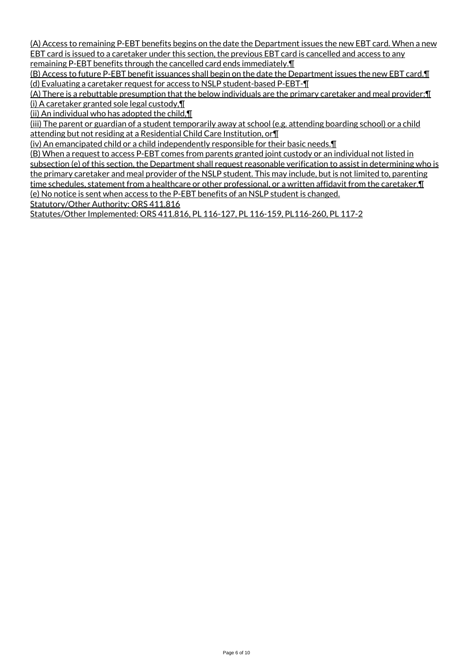(A) Access to remaining P-EBT benefits begins on the date the Department issues the new EBT card. When a new EBT card is issued to a caretaker under this section, the previous EBT card is cancelled and access to any remaining P-EBT benefits through the cancelled card ends immediately.¶

(B) Access to future P-EBT benefit issuances shall begin on the date the Department issues the new EBT card.¶ (d) Evaluating a caretaker request for access to NSLP student-based P-EBT-¶

(A) There is a rebuttable presumption that the below individuals are the primary caretaker and meal provider:¶ (i) A caretaker granted sole legal custody,¶

(ii) An individual who has adopted the child, $\P$ 

(iii) The parent or guardian of a student temporarily away at school (e.g. attending boarding school) or a child attending but not residing at a Residential Child Care Institution, or¶

(iv) An emancipated child or a child independently responsible for their basic needs.¶

(B) When a request to access P-EBT comes from parents granted joint custody or an individual not listed in subsection (e) of this section, the Department shall request reasonable verification to assist in determining who is the primary caretaker and meal provider of the NSLP student. This may include, but is not limited to, parenting time schedules, statement from a healthcare or other professional, or a written affidavit from the caretaker. I (e) No notice is sent when access to the P-EBT benefits of an NSLP student is changed. Statutory/Other Authority: ORS 411.816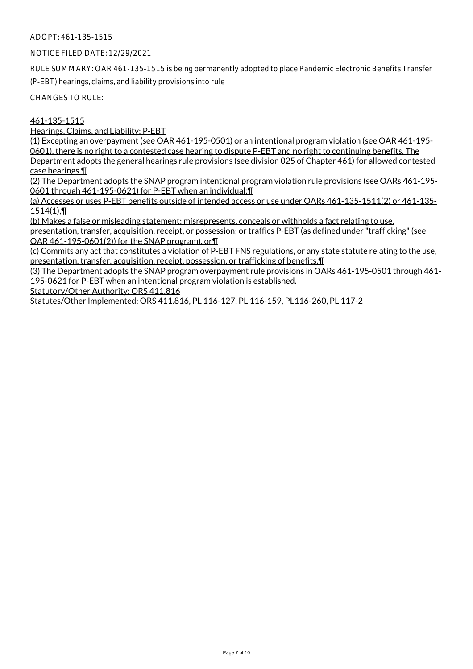NOTICE FILED DATE: 12/29/2021

RULE SUMMARY: OAR 461-135-1515 is being permanently adopted to place Pandemic Electronic Benefits Transfer (P-EBT) hearings, claims, and liability provisions into rule

CHANGES TO RULE:

#### 461-135-1515

Hearings, Claims, and Liability; P-EBT

(1) Excepting an overpayment (see OAR 461-195-0501) or an intentional program violation (see OAR 461-195- 0601), there is no right to a contested case hearing to dispute P-EBT and no right to continuing benefits. The Department adopts the general hearings rule provisions (see division 025 of Chapter 461) for allowed contested case hearings.¶

(2) The Department adopts the SNAP program intentional program violation rule provisions (see OARs 461-195- 0601 through 461-195-0621) for P-EBT when an individual:¶

(a) Accesses or uses P-EBT benefits outside of intended access or use under OARs 461-135-1511(2) or 461-135-  $1514(1)$ , T

(b) Makes a false or misleading statement; misrepresents, conceals or withholds a fact relating to use, presentation, transfer, acquisition, receipt, or possession; or traffics P-EBT (as defined under "trafficking" (see OAR 461-195-0601(2)) for the SNAP program), or¶

(c) Commits any act that constitutes a violation of P-EBT FNS regulations, or any state statute relating to the use, presentation, transfer, acquisition, receipt, possession, or trafficking of benefits.¶

(3) The Department adopts the SNAP program overpayment rule provisions in OARs 461-195-0501 through 461- 195-0621 for P-EBT when an intentional program violation is established.

Statutory/Other Authority: ORS 411.816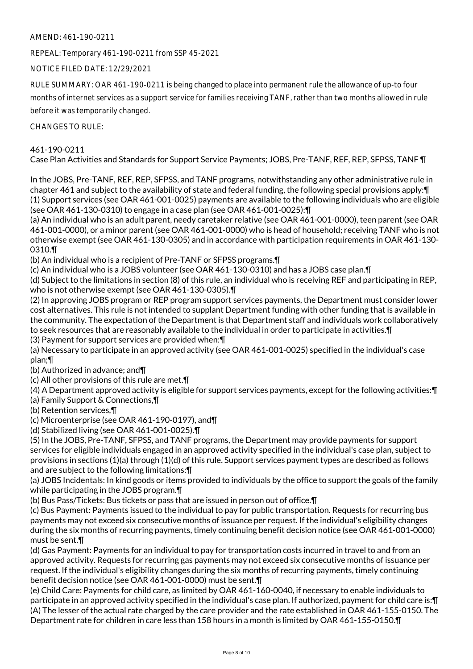# AMEND: 461-190-0211

REPEAL: Temporary 461-190-0211 from SSP 45-2021

NOTICE FILED DATE: 12/29/2021

RULE SUMMARY: OAR 461-190-0211 is being changed to place into permanent rule the allowance of up-to four months of internet services as a support service for families receiving TANF, rather than two months allowed in rule before it was temporarily changed.

CHANGES TO RULE:

# 461-190-0211

Case Plan Activities and Standards for Support Service Payments; JOBS, Pre-TANF, REF, REP, SFPSS, TANF ¶

In the JOBS, Pre-TANF, REF, REP, SFPSS, and TANF programs, notwithstanding any other administrative rule in chapter 461 and subject to the availability of state and federal funding, the following special provisions apply:¶ (1) Support services (see OAR 461-001-0025) payments are available to the following individuals who are eligible (see OAR 461-130-0310) to engage in a case plan (see OAR 461-001-0025):¶

(a) An individual who is an adult parent, needy caretaker relative (see OAR 461-001-0000), teen parent (see OAR 461-001-0000), or a minor parent (see OAR 461-001-0000) who is head of household; receiving TANF who is not otherwise exempt (see OAR 461-130-0305) and in accordance with participation requirements in OAR 461-130- 0310.¶

(b) An individual who is a recipient of Pre-TANF or SFPSS programs.¶

(c) An individual who is a JOBS volunteer (see OAR 461-130-0310) and has a JOBS case plan.¶

(d) Subject to the limitations in section (8) of this rule, an individual who is receiving REF and participating in REP, who is not otherwise exempt (see OAR 461-130-0305).¶

(2) In approving JOBS program or REP program support services payments, the Department must consider lower cost alternatives. This rule is not intended to supplant Department funding with other funding that is available in the community. The expectation of the Department is that Department staff and individuals work collaboratively to seek resources that are reasonably available to the individual in order to participate in activities.¶

(3) Payment for support services are provided when:¶

(a) Necessary to participate in an approved activity (see OAR 461-001-0025) specified in the individual's case plan;¶

(b) Authorized in advance; and¶

(c) All other provisions of this rule are met.¶

(4) A Department approved activity is eligible for support services payments, except for the following activities:¶

(a) Family Support & Connections,¶

(b) Retention services,¶

(c) Microenterprise (see OAR 461-190-0197), and¶

(d) Stabilized living (see OAR 461-001-0025).¶

(5) In the JOBS, Pre-TANF, SFPSS, and TANF programs, the Department may provide payments for support services for eligible individuals engaged in an approved activity specified in the individual's case plan, subject to provisions in sections (1)(a) through (1)(d) of this rule. Support services payment types are described as follows and are subject to the following limitations:¶

(a) JOBS Incidentals: In kind goods or items provided to individuals by the office to support the goals of the family while participating in the JOBS program.¶

(b) Bus Pass/Tickets: Bus tickets or pass that are issued in person out of office.¶

(c) Bus Payment: Payments issued to the individual to pay for public transportation. Requests for recurring bus payments may not exceed six consecutive months of issuance per request. If the individual's eligibility changes during the six months of recurring payments, timely continuing benefit decision notice (see OAR 461-001-0000) must be sent.¶

(d) Gas Payment: Payments for an individual to pay for transportation costs incurred in travel to and from an approved activity. Requests for recurring gas payments may not exceed six consecutive months of issuance per request. If the individual's eligibility changes during the six months of recurring payments, timely continuing benefit decision notice (see OAR 461-001-0000) must be sent.¶

(e) Child Care: Payments for child care, as limited by OAR 461-160-0040, if necessary to enable individuals to participate in an approved activity specified in the individual's case plan. If authorized, payment for child care is:¶ (A) The lesser of the actual rate charged by the care provider and the rate established in OAR 461-155-0150. The Department rate for children in care less than 158 hours in a month is limited by OAR 461-155-0150.¶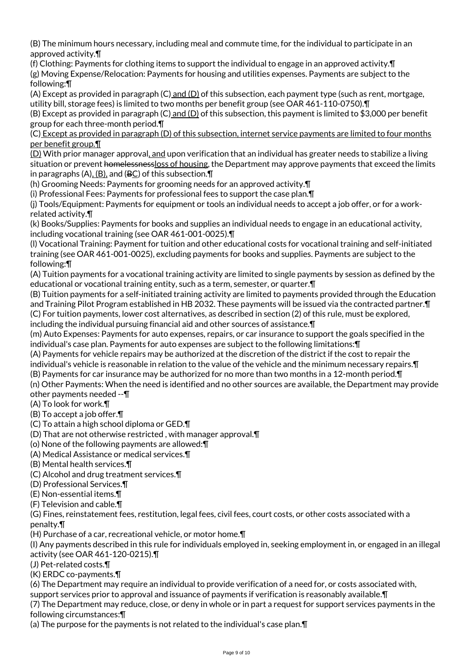(B) The minimum hours necessary, including meal and commute time, for the individual to participate in an approved activity.¶

(f) Clothing: Payments for clothing items to support the individual to engage in an approved activity.¶ (g) Moving Expense/Relocation: Payments for housing and utilities expenses. Payments are subject to the following:¶

(A) Except as provided in paragraph (C) and (D) of this subsection, each payment type (such as rent, mortgage, utility bill, storage fees) is limited to two months per benefit group (see OAR 461-110-0750).¶

(B) Except as provided in paragraph (C) and (D) of this subsection, this payment is limited to \$3,000 per benefit group for each three-month period.¶

(C) Except as provided in paragraph (D) of this subsection, internet service payments are limited to four months per benefit group.¶

(D) With prior manager approval, and upon verification that an individual has greater needs to stabilize a living situation or prevent homelessnessloss of housing, the Department may approve payments that exceed the limits in paragraphs  $(A)$ ,  $(B)$ , and  $(BC)$  of this subsection.  $\P$ 

(h) Grooming Needs: Payments for grooming needs for an approved activity.¶

(i) Professional Fees: Payments for professional fees to support the case plan.¶

(j) Tools/Equipment: Payments for equipment or tools an individual needs to accept a job offer, or for a workrelated activity.¶

(k) Books/Supplies: Payments for books and supplies an individual needs to engage in an educational activity, including vocational training (see OAR 461-001-0025).¶

(l) Vocational Training: Payment for tuition and other educational costs for vocational training and self-initiated training (see OAR 461-001-0025), excluding payments for books and supplies. Payments are subject to the following:¶

(A) Tuition payments for a vocational training activity are limited to single payments by session as defined by the educational or vocational training entity, such as a term, semester, or quarter.¶

(B) Tuition payments for a self-initiated training activity are limited to payments provided through the Education and Training Pilot Program established in HB 2032. These payments will be issued via the contracted partner.¶ (C) For tuition payments, lower cost alternatives, as described in section (2) of this rule, must be explored, including the individual pursuing financial aid and other sources of assistance.¶

(m) Auto Expenses: Payments for auto expenses, repairs, or car insurance to support the goals specified in the individual's case plan. Payments for auto expenses are subject to the following limitations:¶

(A) Payments for vehicle repairs may be authorized at the discretion of the district if the cost to repair the individual's vehicle is reasonable in relation to the value of the vehicle and the minimum necessary repairs.¶

(B) Payments for car insurance may be authorized for no more than two months in a 12-month period.¶

(n) Other Payments: When the need is identified and no other sources are available, the Department may provide other payments needed --¶

(A) To look for work.¶

(B) To accept a job offer.¶

(C) To attain a high school diploma or GED.¶

(D) That are not otherwise restricted , with manager approval.¶

(o) None of the following payments are allowed:¶

(A) Medical Assistance or medical services.¶

(B) Mental health services.¶

(C) Alcohol and drug treatment services.¶

(D) Professional Services.¶

(E) Non-essential items.¶

(F) Television and cable.¶

(G) Fines, reinstatement fees, restitution, legal fees, civil fees, court costs, or other costs associated with a penalty.¶

(H) Purchase of a car, recreational vehicle, or motor home.¶

(I) Any payments described in this rule for individuals employed in, seeking employment in, or engaged in an illegal activity (see OAR 461-120-0215).¶

(J) Pet-related costs.¶

(K) ERDC co-payments.¶

(6) The Department may require an individual to provide verification of a need for, or costs associated with,

support services prior to approval and issuance of payments if verification is reasonably available. [1]

(7) The Department may reduce, close, or deny in whole or in part a request for support services payments in the following circumstances:¶

(a) The purpose for the payments is not related to the individual's case plan.¶